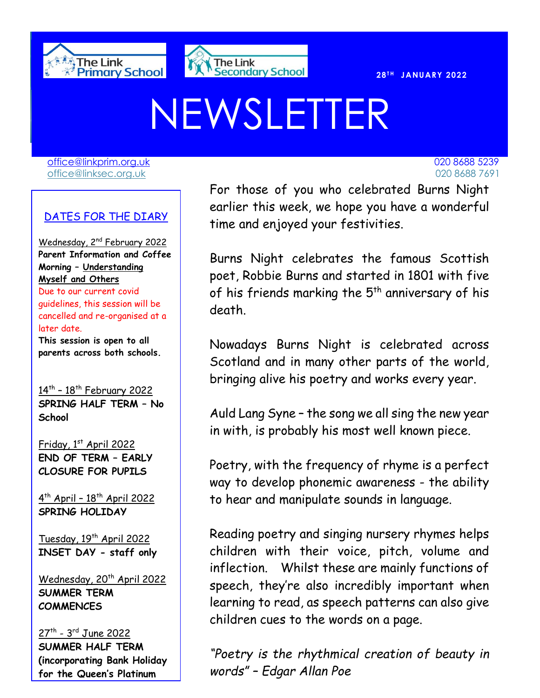



# NEWSLETTER

[office@linkprim.org.uk](mailto:office@linkprim.org.uk) 020 8688 5239 office@linksec.org.uk 020 8688 7691

#### DATES FOR THE DIARY

Wednesday, 2<sup>nd</sup> February 2022 **Parent Information and Coffee Morning – Understanding Myself and Others**  Due to our current covid

guidelines, this session will be cancelled and re-organised at a later date.

**This session is open to all parents across both schools.**

<u>14th - 18th February 2022</u> **SPRING HALF TERM – No School**

Friday, 1st April 2022 **END OF TERM – EARLY CLOSURE FOR PUPILS**

4<sup>th</sup> April - 18<sup>th</sup> April 2022 **SPRING HOLIDAY**

Tuesday, 19<sup>th</sup> April 2022 **INSET DAY - staff only**

Wednesday, 20<sup>th</sup> April 2022 **SUMMER TERM COMMENCES**

27<sup>th</sup> - 3<sup>rd</sup> June 2022 **SUMMER HALF TERM (incorporating Bank Holiday for the Queen's Platinum** 

 earlier this week, we hope you have a wonderful **External For those of you who celebrated Burns Night** time and enjoyed your festivities.

> Burns Night celebrates the famous Scottish poet, Robbie Burns and started in 1801 with five of his friends marking the  $5^{\text{th}}$  anniversary of his death.

> Nowadays Burns Night is celebrated across Scotland and in many other parts of the world, bringing alive his poetry and works every year.

> Auld Lang Syne – the song we all sing the new year in with, is probably his most well known piece.

> Poetry, with the frequency of rhyme is a perfect way to develop phonemic awareness - the ability to hear and manipulate sounds in language.

> Reading poetry and singing nursery rhymes helps children with their voice, pitch, volume and inflection. Whilst these are mainly functions of speech, they're also incredibly important when learning to read, as speech patterns can also give children cues to the words on a page.

> *"Poetry is the rhythmical creation of beauty in words" – Edgar Allan Poe*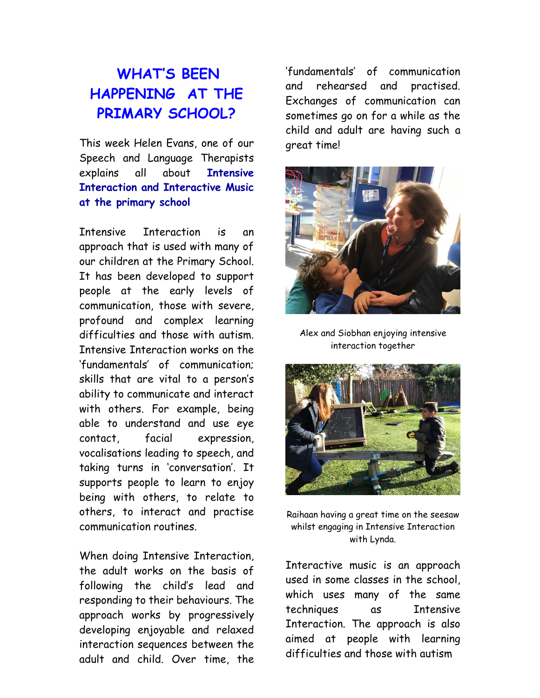## **WHAT'S BEEN HAPPENING AT THE PRIMARY SCHOOL?**

This week Helen Evans, one of our Speech and Language Therapists explains all about **Intensive Interaction and Interactive Music at the primary school**

Intensive Interaction is an approach that is used with many of our children at the Primary School. It has been developed to support people at the early levels of communication, those with severe, profound and complex learning difficulties and those with autism. Intensive Interaction works on the 'fundamentals' of communication; skills that are vital to a person's ability to communicate and interact with others. For example, being able to understand and use eye contact, facial expression, vocalisations leading to speech, and taking turns in 'conversation'. It supports people to learn to enjoy being with others, to relate to others, to interact and practise communication routines.

When doing Intensive Interaction, the adult works on the basis of following the child's lead and responding to their behaviours. The approach works by progressively developing enjoyable and relaxed interaction sequences between the adult and child. Over time, the

'fundamentals' of communication and rehearsed and practised. Exchanges of communication can sometimes go on for a while as the child and adult are having such a great time!



Alex and Siobhan enjoying intensive interaction together



Raihaan having a great time on the seesaw whilst engaging in Intensive Interaction with Lynda.

Interactive music is an approach used in some classes in the school, which uses many of the same techniques as Intensive Interaction. The approach is also aimed at people with learning difficulties and those with autism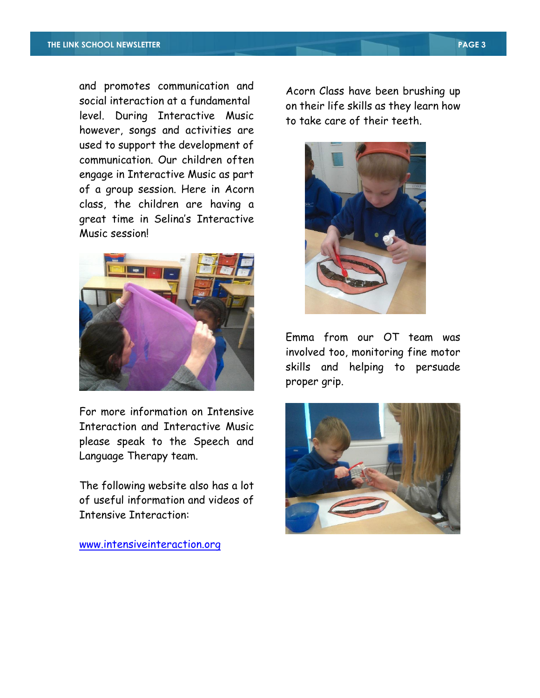and promotes communication and social interaction at a fundamental level. During Interactive Music however, songs and activities are used to support the development of communication. Our children often engage in Interactive Music as part of a group session. Here in Acorn class, the children are having a great time in Selina's Interactive Music session!



For more information on Intensive Interaction and Interactive Music please speak to the Speech and Language Therapy team.

The following website also has a lot of useful information and videos of Intensive Interaction:

[www.intensiveinteraction.org](http://www.intensiveinteraction.org/)

Acorn Class have been brushing up on their life skills as they learn how to take care of their teeth.



Emma from our OT team was involved too, monitoring fine motor skills and helping to persuade proper grip.